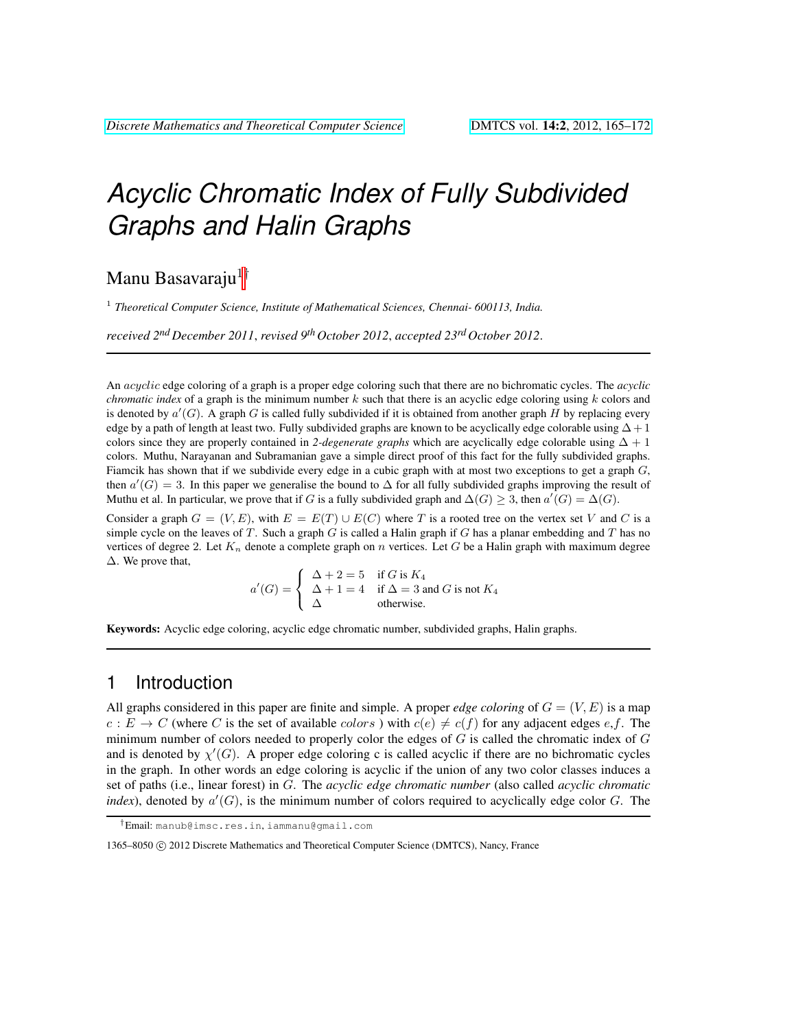# *Acyclic Chromatic Index of Fully Subdivided Graphs and Halin Graphs*

# Manu Basavaraju $1^{\dagger}$

<sup>1</sup> Theoretical Computer Science, Institute of Mathematical Sciences, Chennai- 600113, India.

*received 2nd December 2011*, *revised 9th October 2012*, *accepted 23rd October 2012*.

An acyclic edge coloring of a graph is a proper edge coloring such that there are no bichromatic cycles. The *acyclic chromatic index* of a graph is the minimum number k such that there is an acyclic edge coloring using k colors and is denoted by  $a'(G)$ . A graph G is called fully subdivided if it is obtained from another graph H by replacing every edge by a path of length at least two. Fully subdivided graphs are known to be acyclically edge colorable using  $\Delta + 1$ colors since they are properly contained in 2-degenerate graphs which are acyclically edge colorable using  $\Delta + 1$ colors. Muthu, Narayanan and Subramanian gave a simple direct proof of this fact for the fully subdivided graphs. Fiamcik has shown that if we subdivide every edge in a cubic graph with at most two exceptions to get a graph G, then  $a'(G) = 3$ . In this paper we generalise the bound to  $\Delta$  for all fully subdivided graphs improving the result of Muthu et al. In particular, we prove that if G is a fully subdivided graph and  $\Delta(G) \geq 3$ , then  $a'(G) = \Delta(G)$ .

Consider a graph  $G = (V, E)$ , with  $E = E(T) \cup E(C)$  where T is a rooted tree on the vertex set V and C is a simple cycle on the leaves of T. Such a graph  $G$  is called a Halin graph if  $G$  has a planar embedding and  $T$  has no vertices of degree 2. Let  $K_n$  denote a complete graph on n vertices. Let G be a Halin graph with maximum degree ∆. We prove that,

$$
a'(G) = \begin{cases} \Delta + 2 = 5 & \text{if } G \text{ is } K_4 \\ \Delta + 1 = 4 & \text{if } \Delta = 3 \text{ and } G \text{ is not } K_4 \\ \Delta & \text{otherwise.} \end{cases}
$$

Keywords: Acyclic edge coloring, acyclic edge chromatic number, subdivided graphs, Halin graphs.

## 1 Introduction

All graphs considered in this paper are finite and simple. A proper *edge coloring* of  $G = (V, E)$  is a map  $c : E \to C$  (where C is the set of available colors) with  $c(e) \neq c(f)$  for any adjacent edges e,f. The minimum number of colors needed to properly color the edges of  $G$  is called the chromatic index of  $G$ and is denoted by  $\chi'(G)$ . A proper edge coloring c is called acyclic if there are no bichromatic cycles in the graph. In other words an edge coloring is acyclic if the union of any two color classes induces a set of paths (i.e., linear forest) in G. The *acyclic edge chromatic number* (also called *acyclic chromatic index*), denoted by  $a'(G)$ , is the minimum number of colors required to acyclically edge color  $G$ . The

<sup>†</sup>Email: manub@imsc.res.in, iammanu@gmail.com

<sup>1365–8050 © 2012</sup> Discrete Mathematics and Theoretical Computer Science (DMTCS), Nancy, France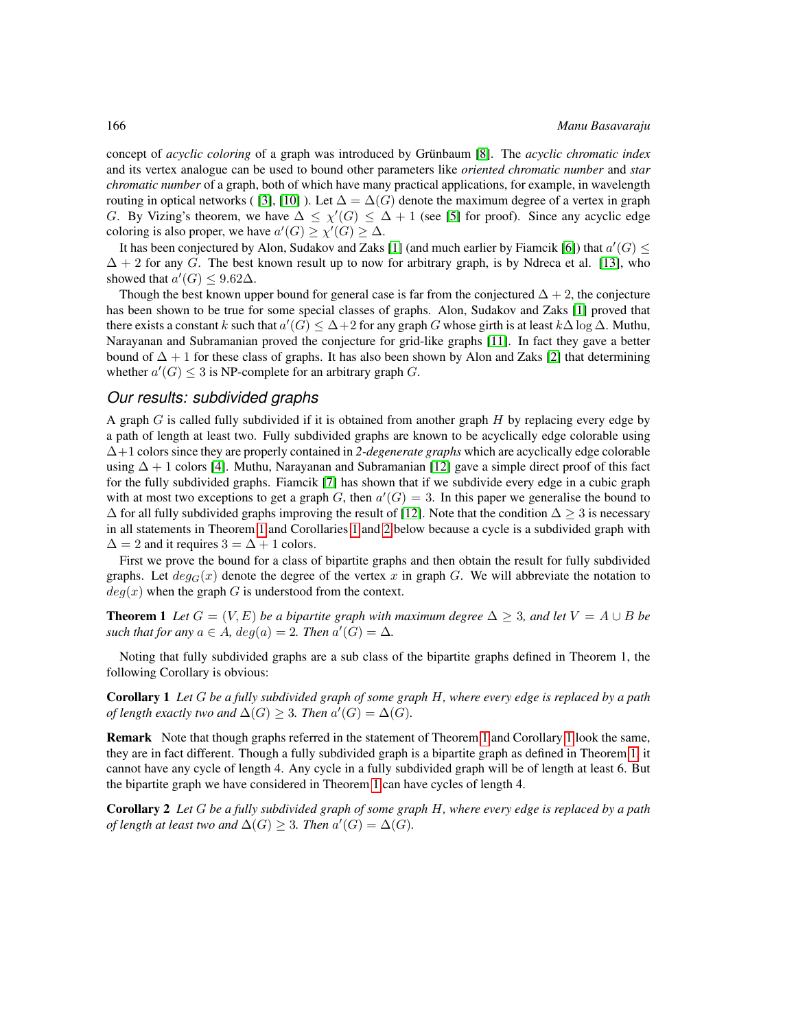concept of *acyclic coloring* of a graph was introduced by Grünbaum [\[8\]](#page-7-0). The *acyclic chromatic index* and its vertex analogue can be used to bound other parameters like *oriented chromatic number* and *star chromatic number* of a graph, both of which have many practical applications, for example, in wavelength routing in optical networks ( [\[3\]](#page-7-1), [\[10\]](#page-7-2) ). Let  $\Delta = \Delta(G)$  denote the maximum degree of a vertex in graph G. By Vizing's theorem, we have  $\Delta \leq \chi'(G) \leq \Delta + 1$  (see [\[5\]](#page-7-3) for proof). Since any acyclic edge coloring is also proper, we have  $a'(G) \ge \chi'(G) \ge \Delta$ .

It has been conjectured by Alon, Sudakov and Zaks [\[1\]](#page-7-4) (and much earlier by Fiamcik [\[6\]](#page-7-5)) that  $a'(G) \leq$  $\Delta + 2$  for any G. The best known result up to now for arbitrary graph, is by Ndreca et al. [\[13\]](#page-7-6), who showed that  $a'(G) \leq 9.62\Delta$ .

Though the best known upper bound for general case is far from the conjectured  $\Delta + 2$ , the conjecture has been shown to be true for some special classes of graphs. Alon, Sudakov and Zaks [\[1\]](#page-7-4) proved that there exists a constant k such that  $a'(G) \leq \Delta + 2$  for any graph G whose girth is at least  $k\Delta \log \Delta$ . Muthu, Narayanan and Subramanian proved the conjecture for grid-like graphs [\[11\]](#page-7-7). In fact they gave a better bound of  $\Delta + 1$  for these class of graphs. It has also been shown by Alon and Zaks [\[2\]](#page-7-8) that determining whether  $a'(G) \leq 3$  is NP-complete for an arbitrary graph G.

#### *Our results: subdivided graphs*

A graph  $G$  is called fully subdivided if it is obtained from another graph  $H$  by replacing every edge by a path of length at least two. Fully subdivided graphs are known to be acyclically edge colorable using ∆+1 colors since they are properly contained in *2-degenerate graphs* which are acyclically edge colorable using  $\Delta + 1$  colors [\[4\]](#page-7-9). Muthu, Narayanan and Subramanian [\[12\]](#page-7-10) gave a simple direct proof of this fact for the fully subdivided graphs. Fiamcik [\[7\]](#page-7-11) has shown that if we subdivide every edge in a cubic graph with at most two exceptions to get a graph G, then  $a'(G) = 3$ . In this paper we generalise the bound to  $\Delta$  for all fully subdivided graphs improving the result of [\[12\]](#page-7-10). Note that the condition  $\Delta \geq 3$  is necessary in all statements in Theorem [1](#page-1-0) and Corollaries [1](#page-1-1) and [2](#page-1-2) below because a cycle is a subdivided graph with  $\Delta = 2$  and it requires  $3 = \Delta + 1$  colors.

First we prove the bound for a class of bipartite graphs and then obtain the result for fully subdivided graphs. Let  $deg_G(x)$  denote the degree of the vertex x in graph G. We will abbreviate the notation to  $deg(x)$  when the graph G is understood from the context.

<span id="page-1-0"></span>**Theorem 1** Let  $G = (V, E)$  be a bipartite graph with maximum degree  $\Delta > 3$ , and let  $V = A \cup B$  be such that for any  $a \in A$ ,  $deg(a) = 2$ . Then  $a'(G) = \Delta$ .

Noting that fully subdivided graphs are a sub class of the bipartite graphs defined in Theorem 1, the following Corollary is obvious:

<span id="page-1-1"></span>Corollary 1 *Let* G *be a fully subdivided graph of some graph* H*, where every edge is replaced by a path of length exactly two and*  $\Delta(G) \geq 3$ *. Then*  $a'(G) = \Delta(G)$ *.* 

Remark Note that though graphs referred in the statement of Theorem [1](#page-1-0) and Corollary [1](#page-1-1) look the same, they are in fact different. Though a fully subdivided graph is a bipartite graph as defined in Theorem [1,](#page-1-0) it cannot have any cycle of length 4. Any cycle in a fully subdivided graph will be of length at least 6. But the bipartite graph we have considered in Theorem [1](#page-1-0) can have cycles of length 4.

<span id="page-1-2"></span>Corollary 2 *Let* G *be a fully subdivided graph of some graph* H*, where every edge is replaced by a path of length at least two and*  $\Delta(G) \geq 3$ *. Then*  $a'(G) = \Delta(G)$ *.*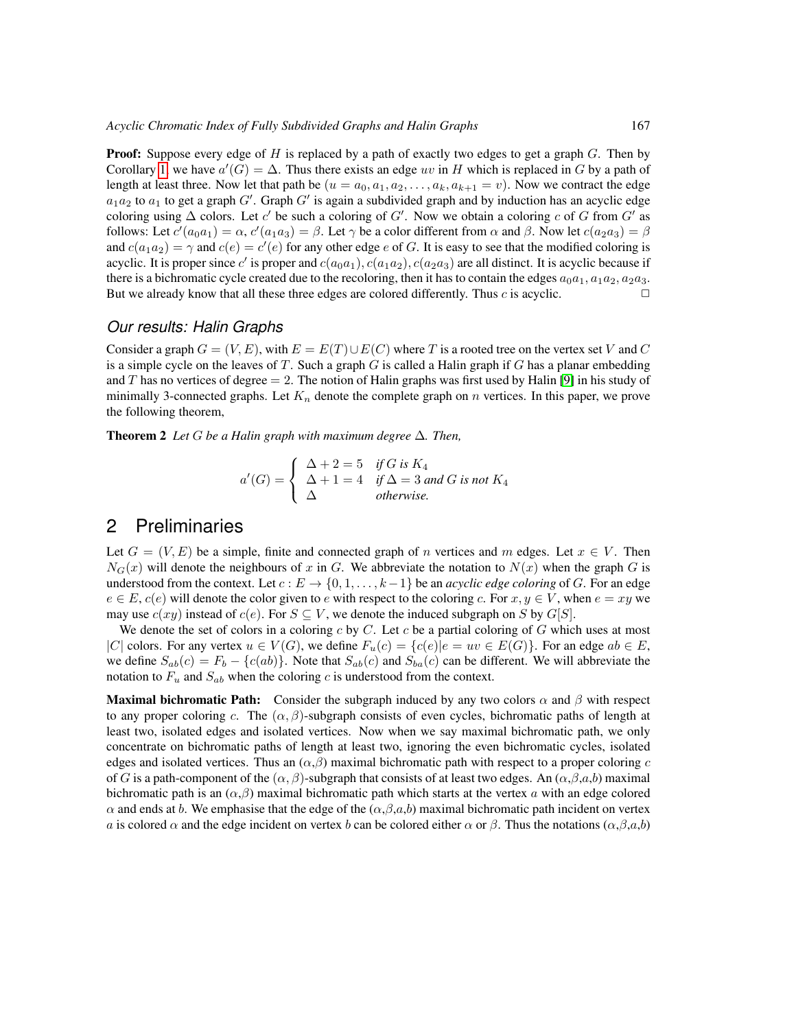**Proof:** Suppose every edge of H is replaced by a path of exactly two edges to get a graph G. Then by Corollary [1,](#page-1-1) we have  $a'(G) = \Delta$ . Thus there exists an edge uv in H which is replaced in G by a path of length at least three. Now let that path be  $(u = a_0, a_1, a_2, \dots, a_k, a_{k+1} = v)$ . Now we contract the edge  $a_1a_2$  to  $a_1$  to get a graph  $G'$ . Graph  $G'$  is again a subdivided graph and by induction has an acyclic edge coloring using  $\Delta$  colors. Let c' be such a coloring of G'. Now we obtain a coloring c of G from G' as follows: Let  $c'(a_0a_1) = \alpha$ ,  $c'(a_1a_3) = \beta$ . Let  $\gamma$  be a color different from  $\alpha$  and  $\beta$ . Now let  $c(a_2a_3) = \beta$ and  $c(a_1a_2) = \gamma$  and  $c(e) = c'(e)$  for any other edge e of G. It is easy to see that the modified coloring is acyclic. It is proper since c' is proper and  $c(a_0a_1)$ ,  $c(a_1a_2)$ ,  $c(a_2a_3)$  are all distinct. It is acyclic because if there is a bichromatic cycle created due to the recoloring, then it has to contain the edges  $a_0a_1, a_1a_2, a_2a_3$ . But we already know that all these three edges are colored differently. Thus c is acyclic.  $\Box$ 

#### *Our results: Halin Graphs*

Consider a graph  $G = (V, E)$ , with  $E = E(T) \cup E(C)$  where T is a rooted tree on the vertex set V and C is a simple cycle on the leaves of  $T$ . Such a graph  $G$  is called a Halin graph if  $G$  has a planar embedding and T has no vertices of degree  $= 2$ . The notion of Halin graphs was first used by Halin [\[9\]](#page-7-12) in his study of minimally 3-connected graphs. Let  $K_n$  denote the complete graph on n vertices. In this paper, we prove the following theorem,

<span id="page-2-0"></span>Theorem 2 *Let* G *be a Halin graph with maximum degree* ∆*. Then,*

$$
a'(G) = \begin{cases} \Delta + 2 = 5 & \text{if } G \text{ is } K_4 \\ \Delta + 1 = 4 & \text{if } \Delta = 3 \text{ and } G \text{ is not } K_4 \\ \Delta & \text{otherwise.} \end{cases}
$$

# 2 Preliminaries

Let  $G = (V, E)$  be a simple, finite and connected graph of n vertices and m edges. Let  $x \in V$ . Then  $N_G(x)$  will denote the neighbours of x in G. We abbreviate the notation to  $N(x)$  when the graph G is understood from the context. Let  $c : E \to \{0, 1, \ldots, k-1\}$  be an *acyclic edge coloring* of G. For an edge  $e \in E$ ,  $c(e)$  will denote the color given to e with respect to the coloring c. For  $x, y \in V$ , when  $e = xy$  we may use  $c(xy)$  instead of  $c(e)$ . For  $S \subseteq V$ , we denote the induced subgraph on S by  $G[S]$ .

We denote the set of colors in a coloring c by C. Let c be a partial coloring of G which uses at most |C| colors. For any vertex  $u \in V(G)$ , we define  $F_u(c) = \{c(e) | e = uv \in E(G) \}$ . For an edge  $ab \in E$ , we define  $S_{ab}(c) = F_b - \{c(ab)\}\.$  Note that  $S_{ab}(c)$  and  $S_{ba}(c)$  can be different. We will abbreviate the notation to  $F_u$  and  $S_{ab}$  when the coloring c is understood from the context.

**Maximal bichromatic Path:** Consider the subgraph induced by any two colors  $\alpha$  and  $\beta$  with respect to any proper coloring c. The  $(\alpha, \beta)$ -subgraph consists of even cycles, bichromatic paths of length at least two, isolated edges and isolated vertices. Now when we say maximal bichromatic path, we only concentrate on bichromatic paths of length at least two, ignoring the even bichromatic cycles, isolated edges and isolated vertices. Thus an  $(\alpha, \beta)$  maximal bichromatic path with respect to a proper coloring c of G is a path-component of the  $(\alpha, \beta)$ -subgraph that consists of at least two edges. An  $(\alpha, \beta, a, b)$  maximal bichromatic path is an  $(\alpha, \beta)$  maximal bichromatic path which starts at the vertex a with an edge colored  $\alpha$  and ends at b. We emphasise that the edge of the  $(\alpha, \beta, a, b)$  maximal bichromatic path incident on vertex a is colored  $\alpha$  and the edge incident on vertex b can be colored either  $\alpha$  or  $\beta$ . Thus the notations  $(\alpha, \beta, a, b)$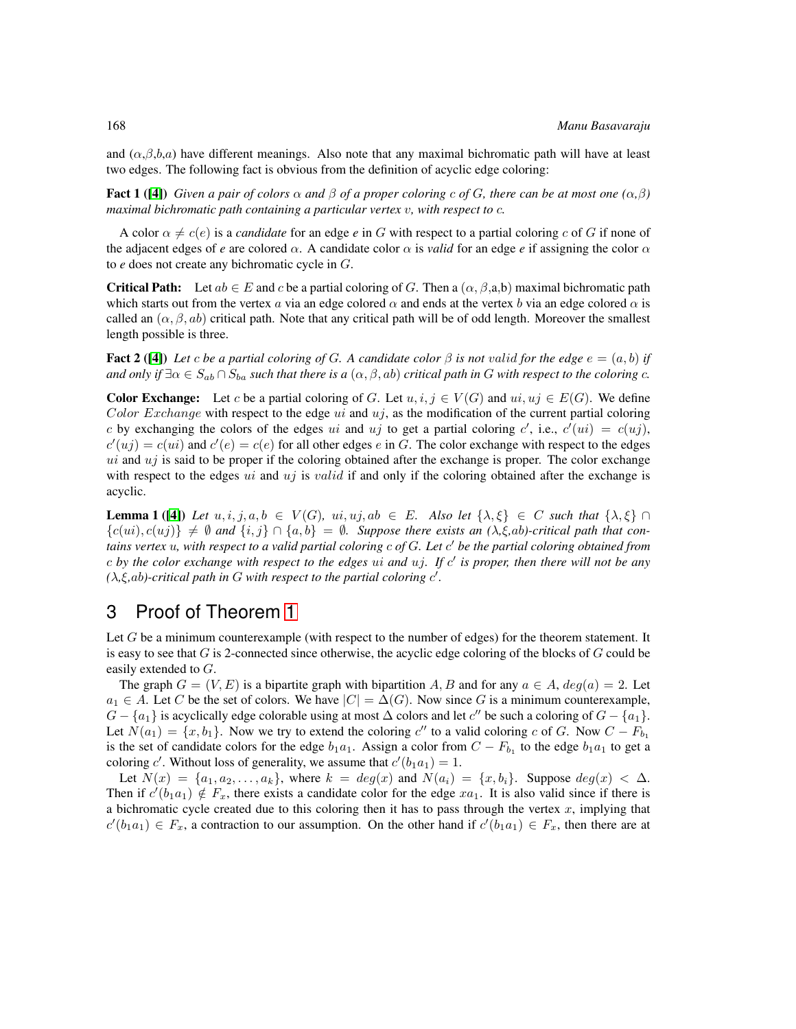and  $(\alpha, \beta, b, a)$  have different meanings. Also note that any maximal bichromatic path will have at least two edges. The following fact is obvious from the definition of acyclic edge coloring:

<span id="page-3-2"></span>**Fact 1 ([\[4\]](#page-7-9))** *Given a pair of colors*  $\alpha$  *and*  $\beta$  *of a proper coloring c of G*, *there can be at most one*  $(\alpha, \beta)$ *maximal bichromatic path containing a particular vertex* v*, with respect to* c*.*

A color  $\alpha \neq c(e)$  is a *candidate* for an edge *e* in G with respect to a partial coloring c of G if none of the adjacent edges of *e* are colored  $\alpha$ . A candidate color  $\alpha$  is *valid* for an edge *e* if assigning the color  $\alpha$ to *e* does not create any bichromatic cycle in G.

**Critical Path:** Let  $ab \in E$  and c be a partial coloring of G. Then a  $(\alpha, \beta, a,b)$  maximal bichromatic path which starts out from the vertex a via an edge colored  $\alpha$  and ends at the vertex b via an edge colored  $\alpha$  is called an  $(\alpha, \beta, ab)$  critical path. Note that any critical path will be of odd length. Moreover the smallest length possible is three.

<span id="page-3-0"></span>**Fact 2** ([\[4\]](#page-7-9)) Let c be a partial coloring of G. A candidate color  $\beta$  is not valid for the edge  $e = (a, b)$  if *and only if*  $\exists \alpha \in S_{ab} \cap S_{ba}$  *such that there is a*  $(\alpha, \beta, ab)$  *critical path in* G *with respect to the coloring* c.

**Color Exchange:** Let c be a partial coloring of G. Let  $u, i, j \in V(G)$  and  $ui, uj \in E(G)$ . We define Color Exchange with respect to the edge  $ui$  and  $uj$ , as the modification of the current partial coloring c by exchanging the colors of the edges ui and uj to get a partial coloring c', i.e.,  $c'(ui) = c(uj)$ ,  $c'(uj) = c(u_i)$  and  $c'(e) = c(e)$  for all other edges e in G. The color exchange with respect to the edges  $ui$  and  $uj$  is said to be proper if the coloring obtained after the exchange is proper. The color exchange with respect to the edges ui and  $uj$  is valid if and only if the coloring obtained after the exchange is acyclic.

<span id="page-3-1"></span>**Lemma 1 ([\[4\]](#page-7-9))** Let  $u, i, j, a, b \in V(G)$ ,  $ui, uj, ab \in E$ . Also let  $\{\lambda, \xi\} \in C$  such that  $\{\lambda, \xi\} \cap$  ${c(u_i), c(u_j)} \neq \emptyset$  and  ${i, j} \cap {a, b} = \emptyset$ . Suppose there exists an  $(\lambda, \xi, ab)$ -critical path that con*tains vertex* u*, with respect to a valid partial coloring* c *of* G*. Let* c <sup>0</sup> *be the partial coloring obtained from* c *by the color exchange with respect to the edges* ui *and* uj*. If* c 0 *is proper, then there will not be any*  $(\lambda, \xi, ab)$ -critical path in G with respect to the partial coloring c'.

# 3 Proof of Theorem [1](#page-1-0)

Let G be a minimum counterexample (with respect to the number of edges) for the theorem statement. It is easy to see that  $G$  is 2-connected since otherwise, the acyclic edge coloring of the blocks of  $G$  could be easily extended to G.

The graph  $G = (V, E)$  is a bipartite graph with bipartition A, B and for any  $a \in A$ ,  $deg(a) = 2$ . Let  $a_1 \in A$ . Let C be the set of colors. We have  $|C| = \Delta(G)$ . Now since G is a minimum counterexample,  $G - \{a_1\}$  is acyclically edge colorable using at most  $\Delta$  colors and let  $c''$  be such a coloring of  $G - \{a_1\}$ . Let  $N(a_1) = \{x, b_1\}$ . Now we try to extend the coloring  $c''$  to a valid coloring c of G. Now  $C - F_{b_1}$ is the set of candidate colors for the edge  $b_1a_1$ . Assign a color from  $C - F_{b_1}$  to the edge  $b_1a_1$  to get a coloring c'. Without loss of generality, we assume that  $c'(b_1a_1) = 1$ .

Let  $N(x) = \{a_1, a_2, \ldots, a_k\}$ , where  $k = deg(x)$  and  $N(a_i) = \{x, b_i\}$ . Suppose  $deg(x) < \Delta$ . Then if  $c'(b_1a_1) \notin F_x$ , there exists a candidate color for the edge  $xa_1$ . It is also valid since if there is a bichromatic cycle created due to this coloring then it has to pass through the vertex  $x$ , implying that  $c'(b_1a_1) \in F_x$ , a contraction to our assumption. On the other hand if  $c'(b_1a_1) \in F_x$ , then there are at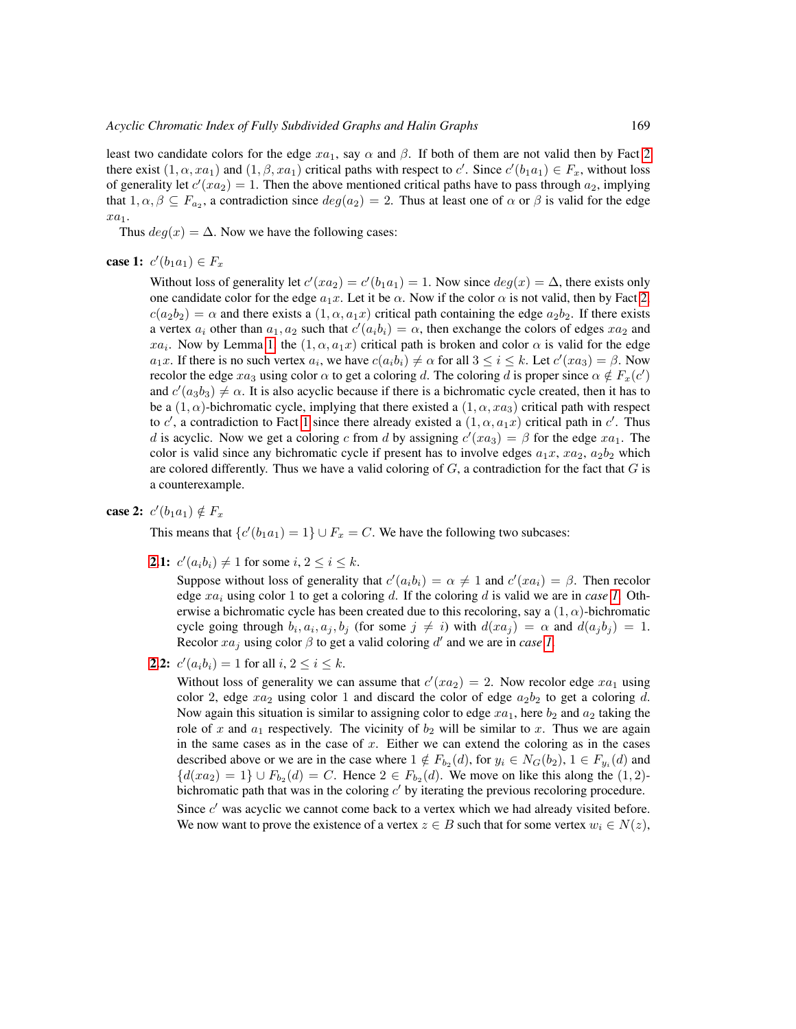least two candidate colors for the edge  $xa_1$ , say  $\alpha$  and  $\beta$ . If both of them are not valid then by Fact [2](#page-3-0) there exist  $(1, \alpha, xa_1)$  and  $(1, \beta, xa_1)$  critical paths with respect to c'. Since  $c'(b_1a_1) \in F_x$ , without loss of generality let  $c'(xa_2) = 1$ . Then the above mentioned critical paths have to pass through  $a_2$ , implying that  $1, \alpha, \beta \subseteq F_{a_2}$ , a contradiction since  $deg(a_2) = 2$ . Thus at least one of  $\alpha$  or  $\beta$  is valid for the edge  $xa_1$ .

Thus  $deg(x) = \Delta$ . Now we have the following cases:

### <span id="page-4-1"></span>case 1:  $c'(b_1a_1) \in F_x$

Without loss of generality let  $c'(xa_2) = c'(b_1a_1) = 1$ . Now since  $deg(x) = \Delta$ , there exists only one candidate color for the edge  $a_1x$ . Let it be  $\alpha$ . Now if the color  $\alpha$  is not valid, then by Fact [2,](#page-3-0)  $c(a_2b_2) = \alpha$  and there exists a  $(1, \alpha, a_1x)$  critical path containing the edge  $a_2b_2$ . If there exists a vertex  $a_i$  other than  $a_1, a_2$  such that  $c'(a_i b_i) = \alpha$ , then exchange the colors of edges  $xa_2$  and  $xa_i$ . Now by Lemma [1,](#page-3-1) the  $(1, \alpha, a_1x)$  critical path is broken and color  $\alpha$  is valid for the edge  $a_1x$ . If there is no such vertex  $a_i$ , we have  $c(a_ib_i) \neq \alpha$  for all  $3 \leq i \leq k$ . Let  $c'(xa_3) = \beta$ . Now recolor the edge  $xa_3$  using color  $\alpha$  to get a coloring d. The coloring d is proper since  $\alpha \notin F_x(c')$ and  $c'(a_3b_3) \neq \alpha$ . It is also acyclic because if there is a bichromatic cycle created, then it has to be a  $(1, \alpha)$ -bichromatic cycle, implying that there existed a  $(1, \alpha, xa_3)$  critical path with respect to c', a contradiction to Fact [1](#page-3-2) since there already existed a  $(1, \alpha, a_1x)$  critical path in c'. Thus d is acyclic. Now we get a coloring c from d by assigning  $c'(xa_3) = \beta$  for the edge  $xa_1$ . The color is valid since any bichromatic cycle if present has to involve edges  $a_1x, xa_2, a_2b_2$  which are colored differently. Thus we have a valid coloring of  $G$ , a contradiction for the fact that  $G$  is a counterexample.

### <span id="page-4-0"></span>case 2:  $c'(b_1a_1) \notin F_x$

This means that  $\{c'(b_1a_1) = 1\} \cup F_x = C$ . We have the following two subcases:

<span id="page-4-2"></span>**[2.](#page-4-0)1:**  $c'(a_i b_i) \neq 1$  for some  $i, 2 \leq i \leq k$ .

Suppose without loss of generality that  $c'(a_i b_i) = \alpha \neq 1$  and  $c'(xa_i) = \beta$ . Then recolor edge  $xa_i$  using color [1](#page-4-1) to get a coloring d. If the coloring d is valid we are in *case* 1. Otherwise a bichromatic cycle has been created due to this recoloring, say a  $(1, \alpha)$ -bichromatic cycle going through  $b_i, a_i, a_j, b_j$  (for some  $j \neq i$ ) with  $d(xa_j) = \alpha$  and  $d(a_jb_j) = 1$ . Recolor  $xa_j$  using color  $\beta$  to get a valid coloring d' and we are in *case [1](#page-4-1)*.

**[2.](#page-4-0)2:**  $c'(a_i b_i) = 1$  for all  $i, 2 \le i \le k$ .

Without loss of generality we can assume that  $c'(xa_2) = 2$ . Now recolor edge  $xa_1$  using color 2, edge  $xa_2$  using color 1 and discard the color of edge  $a_2b_2$  to get a coloring d. Now again this situation is similar to assigning color to edge  $xa_1$ , here  $b_2$  and  $a_2$  taking the role of x and  $a_1$  respectively. The vicinity of  $b_2$  will be similar to x. Thus we are again in the same cases as in the case of  $x$ . Either we can extend the coloring as in the cases described above or we are in the case where  $1 \notin F_{b_2}(d)$ , for  $y_i \in N_G(b_2)$ ,  $1 \in F_{y_i}(d)$  and  $\{d(xa_2) = 1\} \cup F_{b_2}(d) = C$ . Hence  $2 \in F_{b_2}(d)$ . We move on like this along the  $(1, 2)$ bichromatic path that was in the coloring  $c'$  by iterating the previous recoloring procedure.

Since  $c'$  was acyclic we cannot come back to a vertex which we had already visited before. We now want to prove the existence of a vertex  $z \in B$  such that for some vertex  $w_i \in N(z)$ ,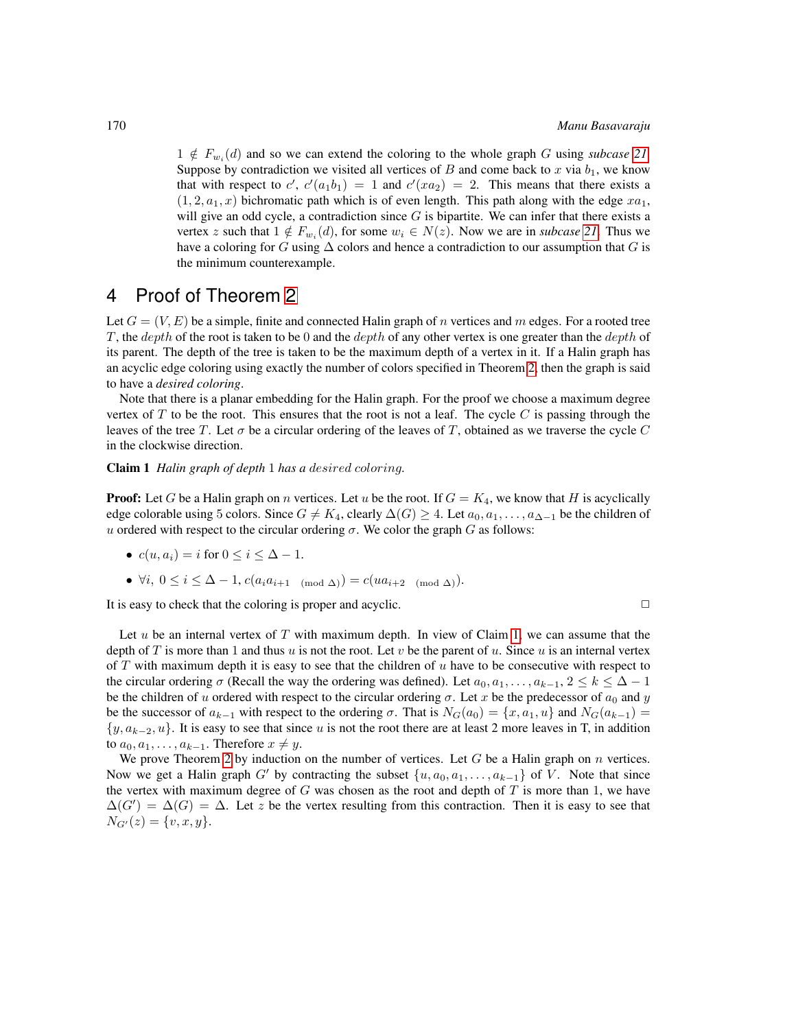$1 \notin F_{w_i}(d)$  and so we can extend the coloring to the whole graph G using *subcase* [21](#page-4-2). Suppose by contradiction we visited all vertices of  $B$  and come back to  $x$  via  $b_1$ , we know that with respect to c',  $c'(a_1b_1) = 1$  and  $c'(xa_2) = 2$ . This means that there exists a  $(1, 2, a_1, x)$  bichromatic path which is of even length. This path along with the edge  $xa_1$ , will give an odd cycle, a contradiction since  $G$  is bipartite. We can infer that there exists a vertex z such that  $1 \notin F_{w_i}(d)$ , for some  $w_i \in N(z)$ . Now we are in *subcase* [21](#page-4-2). Thus we have a coloring for G using  $\Delta$  colors and hence a contradiction to our assumption that G is the minimum counterexample.

# 4 Proof of Theorem [2](#page-2-0)

Let  $G = (V, E)$  be a simple, finite and connected Halin graph of n vertices and m edges. For a rooted tree T, the depth of the root is taken to be 0 and the depth of any other vertex is one greater than the depth of its parent. The depth of the tree is taken to be the maximum depth of a vertex in it. If a Halin graph has an acyclic edge coloring using exactly the number of colors specified in Theorem [2,](#page-2-0) then the graph is said to have a *desired coloring*.

Note that there is a planar embedding for the Halin graph. For the proof we choose a maximum degree vertex of  $T$  to be the root. This ensures that the root is not a leaf. The cycle  $C$  is passing through the leaves of the tree T. Let  $\sigma$  be a circular ordering of the leaves of T, obtained as we traverse the cycle C in the clockwise direction.

<span id="page-5-0"></span>Claim 1 *Halin graph of depth* 1 *has a* desired coloring*.*

**Proof:** Let G be a Halin graph on n vertices. Let u be the root. If  $G = K_4$ , we know that H is acyclically edge colorable using 5 colors. Since  $G \neq K_4$ , clearly  $\Delta(G) \geq 4$ . Let  $a_0, a_1, \ldots, a_{\Delta-1}$  be the children of u ordered with respect to the circular ordering  $\sigma$ . We color the graph G as follows:

•  $c(u, a_i) = i$  for  $0 \le i \le \Delta - 1$ .

• 
$$
\forall i, 0 \leq i \leq \Delta - 1, c(a_i a_{i+1 \pmod{\Delta}}) = c(ua_{i+2 \pmod{\Delta}}).
$$

It is easy to check that the coloring is proper and acyclic.  $\Box$ 

Let  $u$  be an internal vertex of  $T$  with maximum depth. In view of Claim [1,](#page-5-0) we can assume that the depth of T is more than 1 and thus u is not the root. Let v be the parent of u. Since u is an internal vertex of  $T$  with maximum depth it is easy to see that the children of  $u$  have to be consecutive with respect to the circular ordering  $\sigma$  (Recall the way the ordering was defined). Let  $a_0, a_1, \ldots, a_{k-1}, 2 \leq k \leq \Delta - 1$ be the children of u ordered with respect to the circular ordering  $\sigma$ . Let x be the predecessor of  $a_0$  and y be the successor of  $a_{k-1}$  with respect to the ordering  $\sigma$ . That is  $N_G(a_0) = \{x, a_1, u\}$  and  $N_G(a_{k-1}) =$  $\{y, a_{k-2}, u\}$ . It is easy to see that since u is not the root there are at least 2 more leaves in T, in addition to  $a_0, a_1, \ldots, a_{k-1}$ . Therefore  $x \neq y$ .

We prove Theorem [2](#page-2-0) by induction on the number of vertices. Let G be a Halin graph on n vertices. Now we get a Halin graph G' by contracting the subset  $\{u, a_0, a_1, \ldots, a_{k-1}\}$  of V. Note that since the vertex with maximum degree of G was chosen as the root and depth of  $T$  is more than 1, we have  $\Delta(G') = \Delta(G) = \Delta$ . Let z be the vertex resulting from this contraction. Then it is easy to see that  $N_{G'}(z) = \{v, x, y\}.$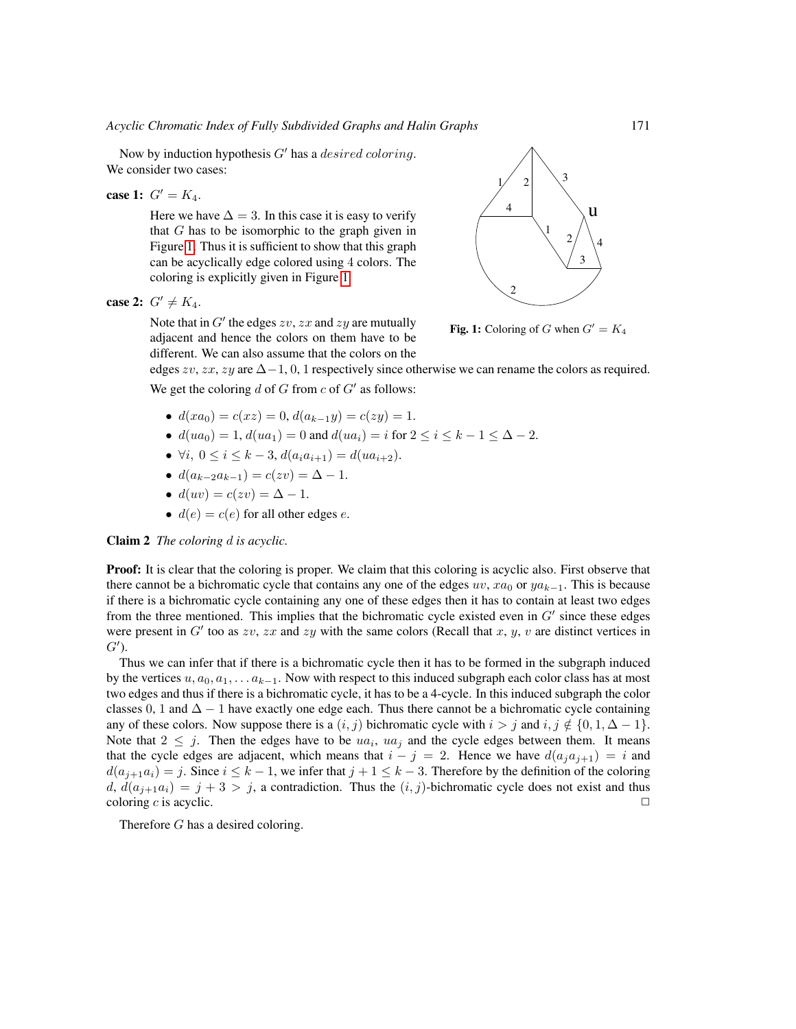Now by induction hypothesis  $G'$  has a *desired coloring*. We consider two cases:

**case 1:** 
$$
G' = K_4
$$
.

Here we have  $\Delta = 3$ . In this case it is easy to verify that G has to be isomorphic to the graph given in Figure [1.](#page-6-0) Thus it is sufficient to show that this graph can be acyclically edge colored using 4 colors. The coloring is explicitly given in Figure [1.](#page-6-0)

case 2:  $G' \neq K_4$ .

Note that in  $G'$  the edges  $zv$ ,  $zx$  and  $zy$  are mutually adjacent and hence the colors on them have to be different. We can also assume that the colors on the



<span id="page-6-0"></span>Fig. 1: Coloring of G when  $G' = K_4$ 

edges  $zv$ ,  $zx$ ,  $zy$  are  $\Delta-1$ , 0, 1 respectively since otherwise we can rename the colors as required.

We get the coloring  $d$  of  $G$  from  $c$  of  $G'$  as follows:

- $d(xa_0) = c(xz) = 0, d(a_{k-1}y) = c(zy) = 1.$
- $d(ua_0) = 1, d(ua_1) = 0$  and  $d(ua_i) = i$  for  $2 \le i \le k 1 \le \Delta 2$ .
- $\forall i, 0 \leq i \leq k-3, d(a_i a_{i+1}) = d(ua_{i+2}).$
- $d(a_{k-2}a_{k-1}) = c(zv) = \Delta 1.$
- $d(uv) = c(zv) = \Delta 1$ .
- $d(e) = c(e)$  for all other edges e.

Claim 2 *The coloring* d *is acyclic.*

**Proof:** It is clear that the coloring is proper. We claim that this coloring is acyclic also. First observe that there cannot be a bichromatic cycle that contains any one of the edges  $uv$ ,  $xa_0$  or  $ya_{k-1}$ . This is because if there is a bichromatic cycle containing any one of these edges then it has to contain at least two edges from the three mentioned. This implies that the bichromatic cycle existed even in  $G'$  since these edges were present in  $G'$  too as zv, zx and zy with the same colors (Recall that x, y, v are distinct vertices in  $G^{\prime}$ ).

Thus we can infer that if there is a bichromatic cycle then it has to be formed in the subgraph induced by the vertices  $u, a_0, a_1, \ldots a_{k-1}$ . Now with respect to this induced subgraph each color class has at most two edges and thus if there is a bichromatic cycle, it has to be a 4-cycle. In this induced subgraph the color classes 0, 1 and  $\Delta - 1$  have exactly one edge each. Thus there cannot be a bichromatic cycle containing any of these colors. Now suppose there is a  $(i, j)$  bichromatic cycle with  $i > j$  and  $i, j \notin \{0, 1, \Delta - 1\}$ . Note that  $2 \leq j$ . Then the edges have to be  $ua_i$ ,  $ua_j$  and the cycle edges between them. It means that the cycle edges are adjacent, which means that  $i - j = 2$ . Hence we have  $d(a_i a_{i+1}) = i$  and  $d(a_{j+1}a_i) = j$ . Since  $i \leq k-1$ , we infer that  $j+1 \leq k-3$ . Therefore by the definition of the coloring d,  $d(a_{i+1}a_i) = j + 3 > j$ , a contradiction. Thus the  $(i, j)$ -bichromatic cycle does not exist and thus coloring  $c$  is acyclic.

Therefore G has a desired coloring.